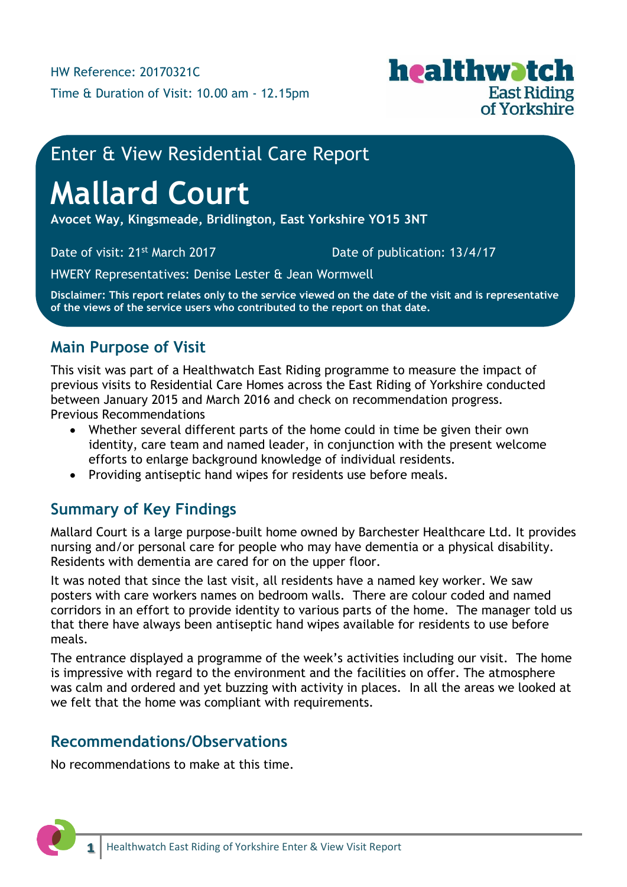

## Enter & View Residential Care Report

# **Mallard Court**

**Avocet Way, Kingsmeade, Bridlington, East Yorkshire YO15 3NT**

Date of visit: 21<sup>st</sup> March 2017 Date of publication: 13/4/17

HWERY Representatives: Denise Lester & Jean Wormwell

**Disclaimer: This report relates only to the service viewed on the date of the visit and is representative of the views of the service users who contributed to the report on that date.**

## **Main Purpose of Visit**

This visit was part of a Healthwatch East Riding programme to measure the impact of previous visits to Residential Care Homes across the East Riding of Yorkshire conducted between January 2015 and March 2016 and check on recommendation progress. Previous Recommendations

- Whether several different parts of the home could in time be given their own identity, care team and named leader, in conjunction with the present welcome efforts to enlarge background knowledge of individual residents.
- Providing antiseptic hand wipes for residents use before meals.

## **Summary of Key Findings**

Mallard Court is a large purpose-built home owned by Barchester Healthcare Ltd. It provides nursing and/or personal care for people who may have dementia or a physical disability. Residents with dementia are cared for on the upper floor.

It was noted that since the last visit, all residents have a named key worker. We saw posters with care workers names on bedroom walls. There are colour coded and named corridors in an effort to provide identity to various parts of the home. The manager told us that there have always been antiseptic hand wipes available for residents to use before meals.

The entrance displayed a programme of the week's activities including our visit. The home is impressive with regard to the environment and the facilities on offer. The atmosphere was calm and ordered and yet buzzing with activity in places. In all the areas we looked at we felt that the home was compliant with requirements.

#### **Recommendations/Observations**

No recommendations to make at this time.

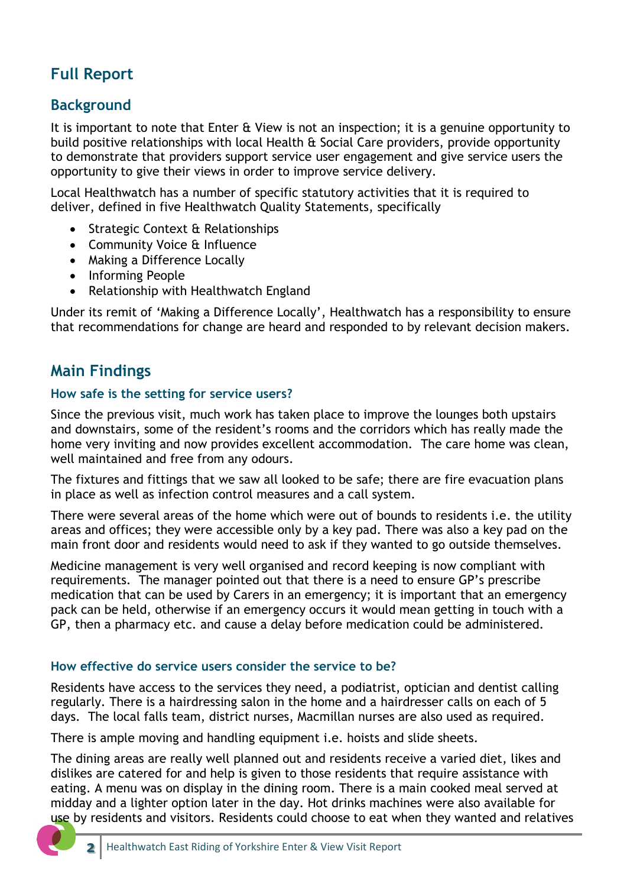## **Full Report**

### **Background**

It is important to note that Enter & View is not an inspection; it is a genuine opportunity to build positive relationships with local Health & Social Care providers, provide opportunity to demonstrate that providers support service user engagement and give service users the opportunity to give their views in order to improve service delivery.

Local Healthwatch has a number of specific statutory activities that it is required to deliver, defined in five Healthwatch Quality Statements, specifically

- Strategic Context & Relationships
- Community Voice & Influence
- Making a Difference Locally
- Informing People
- Relationship with Healthwatch England

Under its remit of 'Making a Difference Locally', Healthwatch has a responsibility to ensure that recommendations for change are heard and responded to by relevant decision makers.

## **Main Findings**

#### **How safe is the setting for service users?**

Since the previous visit, much work has taken place to improve the lounges both upstairs and downstairs, some of the resident's rooms and the corridors which has really made the home very inviting and now provides excellent accommodation. The care home was clean, well maintained and free from any odours.

The fixtures and fittings that we saw all looked to be safe; there are fire evacuation plans in place as well as infection control measures and a call system.

There were several areas of the home which were out of bounds to residents i.e. the utility areas and offices; they were accessible only by a key pad. There was also a key pad on the main front door and residents would need to ask if they wanted to go outside themselves.

Medicine management is very well organised and record keeping is now compliant with requirements. The manager pointed out that there is a need to ensure GP's prescribe medication that can be used by Carers in an emergency; it is important that an emergency pack can be held, otherwise if an emergency occurs it would mean getting in touch with a GP, then a pharmacy etc. and cause a delay before medication could be administered.

#### **How effective do service users consider the service to be?**

Residents have access to the services they need, a podiatrist, optician and dentist calling regularly. There is a hairdressing salon in the home and a hairdresser calls on each of 5 days. The local falls team, district nurses, Macmillan nurses are also used as required.

There is ample moving and handling equipment i.e. hoists and slide sheets.

The dining areas are really well planned out and residents receive a varied diet, likes and dislikes are catered for and help is given to those residents that require assistance with eating. A menu was on display in the dining room. There is a main cooked meal served at midday and a lighter option later in the day. Hot drinks machines were also available for use by residents and visitors. Residents could choose to eat when they wanted and relatives

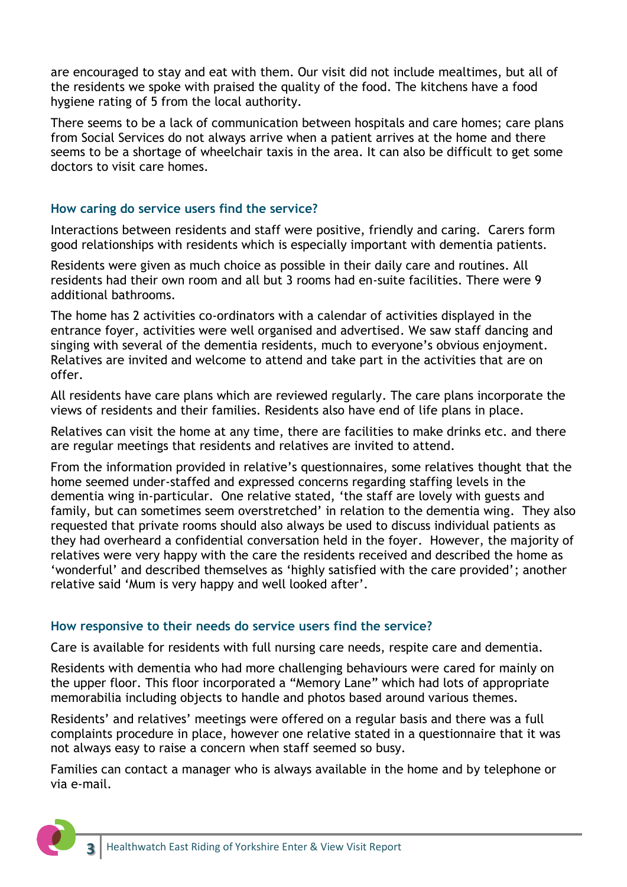are encouraged to stay and eat with them. Our visit did not include mealtimes, but all of the residents we spoke with praised the quality of the food. The kitchens have a food hygiene rating of 5 from the local authority.

There seems to be a lack of communication between hospitals and care homes; care plans from Social Services do not always arrive when a patient arrives at the home and there seems to be a shortage of wheelchair taxis in the area. It can also be difficult to get some doctors to visit care homes.

#### **How caring do service users find the service?**

Interactions between residents and staff were positive, friendly and caring. Carers form good relationships with residents which is especially important with dementia patients.

Residents were given as much choice as possible in their daily care and routines. All residents had their own room and all but 3 rooms had en-suite facilities. There were 9 additional bathrooms.

The home has 2 activities co-ordinators with a calendar of activities displayed in the entrance foyer, activities were well organised and advertised. We saw staff dancing and singing with several of the dementia residents, much to everyone's obvious enjoyment. Relatives are invited and welcome to attend and take part in the activities that are on offer.

All residents have care plans which are reviewed regularly. The care plans incorporate the views of residents and their families. Residents also have end of life plans in place.

Relatives can visit the home at any time, there are facilities to make drinks etc. and there are regular meetings that residents and relatives are invited to attend.

From the information provided in relative's questionnaires, some relatives thought that the home seemed under-staffed and expressed concerns regarding staffing levels in the dementia wing in-particular. One relative stated, 'the staff are lovely with guests and family, but can sometimes seem overstretched' in relation to the dementia wing. They also requested that private rooms should also always be used to discuss individual patients as they had overheard a confidential conversation held in the foyer. However, the majority of relatives were very happy with the care the residents received and described the home as 'wonderful' and described themselves as 'highly satisfied with the care provided'; another relative said 'Mum is very happy and well looked after'.

#### **How responsive to their needs do service users find the service?**

Care is available for residents with full nursing care needs, respite care and dementia.

Residents with dementia who had more challenging behaviours were cared for mainly on the upper floor. This floor incorporated a "Memory Lane" which had lots of appropriate memorabilia including objects to handle and photos based around various themes.

Residents' and relatives' meetings were offered on a regular basis and there was a full complaints procedure in place, however one relative stated in a questionnaire that it was not always easy to raise a concern when staff seemed so busy.

Families can contact a manager who is always available in the home and by telephone or via e-mail.